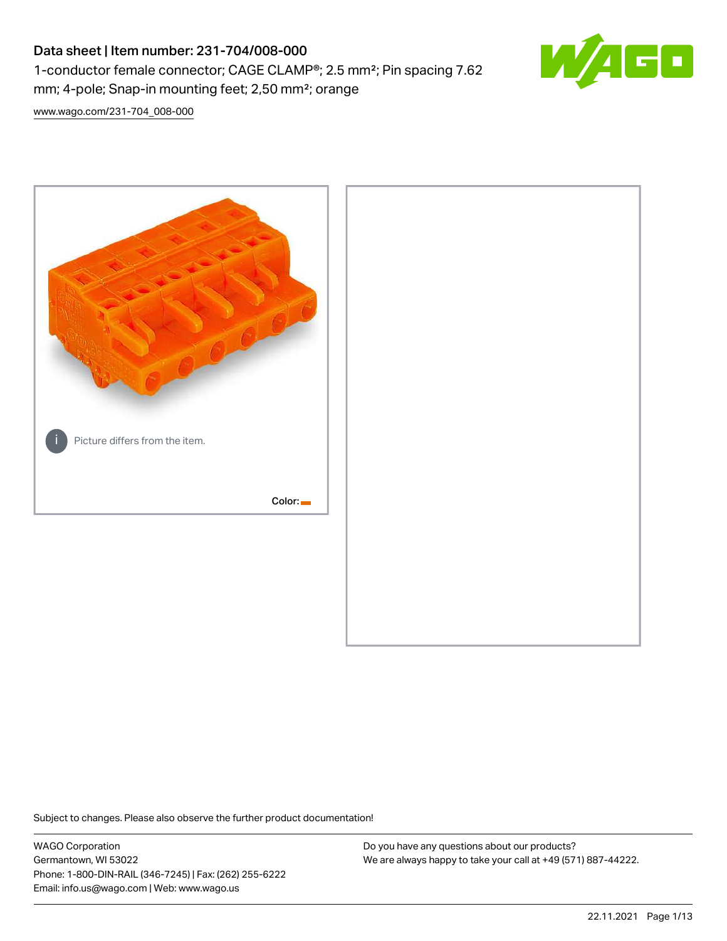# Data sheet | Item number: 231-704/008-000 1-conductor female connector; CAGE CLAMP®; 2.5 mm²; Pin spacing 7.62 mm; 4-pole; Snap-in mounting feet; 2,50 mm²; orange



[www.wago.com/231-704\\_008-000](http://www.wago.com/231-704_008-000)



Subject to changes. Please also observe the further product documentation!

WAGO Corporation Germantown, WI 53022 Phone: 1-800-DIN-RAIL (346-7245) | Fax: (262) 255-6222 Email: info.us@wago.com | Web: www.wago.us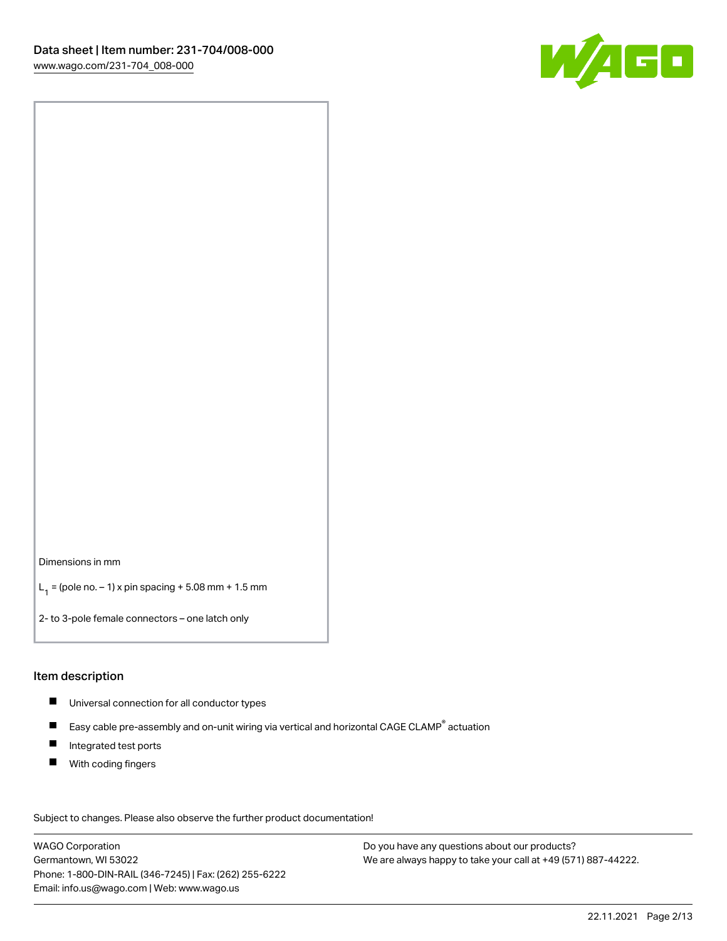

Dimensions in mm

 $L_1 =$  (pole no.  $-1$ ) x pin spacing + 5.08 mm + 1.5 mm

2- to 3-pole female connectors – one latch only

#### Item description

- Universal connection for all conductor types
- $\blacksquare$ Easy cable pre-assembly and on-unit wiring via vertical and horizontal CAGE CLAMP<sup>®</sup> actuation
- $\blacksquare$ Integrated test ports
- $\blacksquare$ With coding fingers

Subject to changes. Please also observe the further product documentation! Data

WAGO Corporation Germantown, WI 53022 Phone: 1-800-DIN-RAIL (346-7245) | Fax: (262) 255-6222 Email: info.us@wago.com | Web: www.wago.us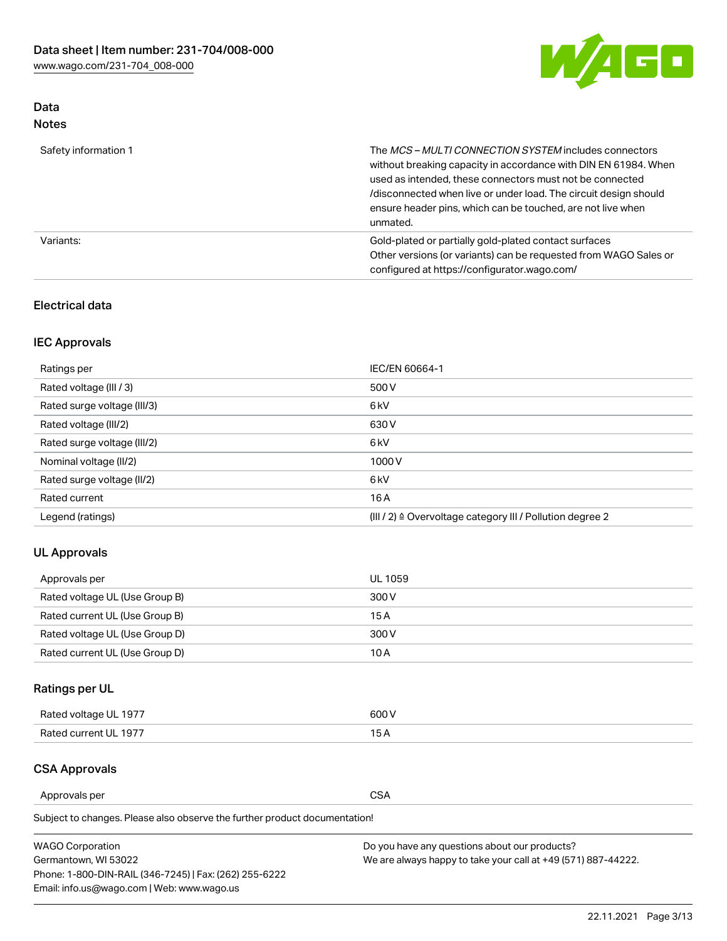

## Data Notes

| Safety information 1 | The MCS-MULTI CONNECTION SYSTEM includes connectors<br>without breaking capacity in accordance with DIN EN 61984. When<br>used as intended, these connectors must not be connected<br>/disconnected when live or under load. The circuit design should<br>ensure header pins, which can be touched, are not live when<br>unmated. |
|----------------------|-----------------------------------------------------------------------------------------------------------------------------------------------------------------------------------------------------------------------------------------------------------------------------------------------------------------------------------|
| Variants:            | Gold-plated or partially gold-plated contact surfaces<br>Other versions (or variants) can be requested from WAGO Sales or<br>configured at https://configurator.wago.com/                                                                                                                                                         |

### Electrical data

## IEC Approvals

| Ratings per                 | IEC/EN 60664-1                                                        |
|-----------------------------|-----------------------------------------------------------------------|
| Rated voltage (III / 3)     | 500 V                                                                 |
| Rated surge voltage (III/3) | 6 <sub>kV</sub>                                                       |
| Rated voltage (III/2)       | 630 V                                                                 |
| Rated surge voltage (III/2) | 6 <sub>kV</sub>                                                       |
| Nominal voltage (II/2)      | 1000V                                                                 |
| Rated surge voltage (II/2)  | 6 <sub>kV</sub>                                                       |
| Rated current               | 16A                                                                   |
| Legend (ratings)            | $(III / 2)$ $\triangle$ Overvoltage category III / Pollution degree 2 |

## UL Approvals

| Approvals per                  | UL 1059 |
|--------------------------------|---------|
| Rated voltage UL (Use Group B) | 300 V   |
| Rated current UL (Use Group B) | 15 A    |
| Rated voltage UL (Use Group D) | 300 V   |
| Rated current UL (Use Group D) | 10 A    |

## Ratings per UL

| Rated voltage UL 1977 | 300 V |
|-----------------------|-------|
| Rated current UL 1977 |       |

#### CSA Approvals

Approvals per CSA

Subject to changes. Please also observe the further product documentation!

| <b>WAGO Corporation</b>                                | Do you have any questions about our products?                 |
|--------------------------------------------------------|---------------------------------------------------------------|
| Germantown, WI 53022                                   | We are always happy to take your call at +49 (571) 887-44222. |
| Phone: 1-800-DIN-RAIL (346-7245)   Fax: (262) 255-6222 |                                                               |
| Email: info.us@wago.com   Web: www.wago.us             |                                                               |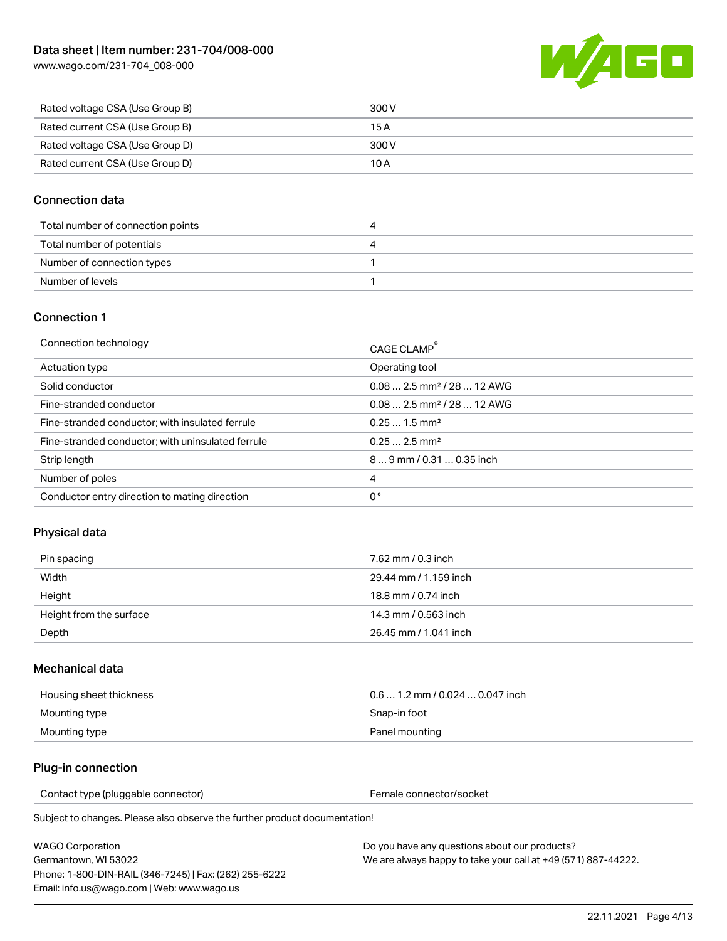

| Rated voltage CSA (Use Group B) | 300 V |
|---------------------------------|-------|
| Rated current CSA (Use Group B) | 15 A  |
| Rated voltage CSA (Use Group D) | 300 V |
| Rated current CSA (Use Group D) | 10 A  |

#### Connection data

| Total number of connection points |  |
|-----------------------------------|--|
| Total number of potentials        |  |
| Number of connection types        |  |
| Number of levels                  |  |

#### Connection 1

| Connection technology                             | CAGE CLAMP <sup>®</sup>                 |
|---------------------------------------------------|-----------------------------------------|
| Actuation type                                    | Operating tool                          |
| Solid conductor                                   | $0.082.5$ mm <sup>2</sup> / 28  12 AWG  |
| Fine-stranded conductor                           | $0.08$ 2.5 mm <sup>2</sup> / 28  12 AWG |
| Fine-stranded conductor; with insulated ferrule   | $0.251.5$ mm <sup>2</sup>               |
| Fine-stranded conductor; with uninsulated ferrule | $0.252.5$ mm <sup>2</sup>               |
| Strip length                                      | 89 mm / 0.31  0.35 inch                 |
| Number of poles                                   | 4                                       |
| Conductor entry direction to mating direction     | 0°                                      |

## Physical data

| Pin spacing             | 7.62 mm / 0.3 inch    |
|-------------------------|-----------------------|
| Width                   | 29.44 mm / 1.159 inch |
| Height                  | 18.8 mm / 0.74 inch   |
| Height from the surface | 14.3 mm / 0.563 inch  |
| Depth                   | 26.45 mm / 1.041 inch |

#### Mechanical data

| Housing sheet thickness | $0.61.2$ mm / 0.024  0.047 inch |
|-------------------------|---------------------------------|
| Mounting type           | Snap-in foot                    |
| Mounting type           | Panel mounting                  |

### Plug-in connection

Contact type (pluggable connector) example a set of the Female connector/socket

Subject to changes. Please also observe the further product documentation!

| WAGO Corporation                                       |  |
|--------------------------------------------------------|--|
| Germantown. WI 53022                                   |  |
| Phone: 1-800-DIN-RAIL (346-7245)   Fax: (262) 255-6222 |  |
| Email: info.us@wago.com   Web: www.wago.us             |  |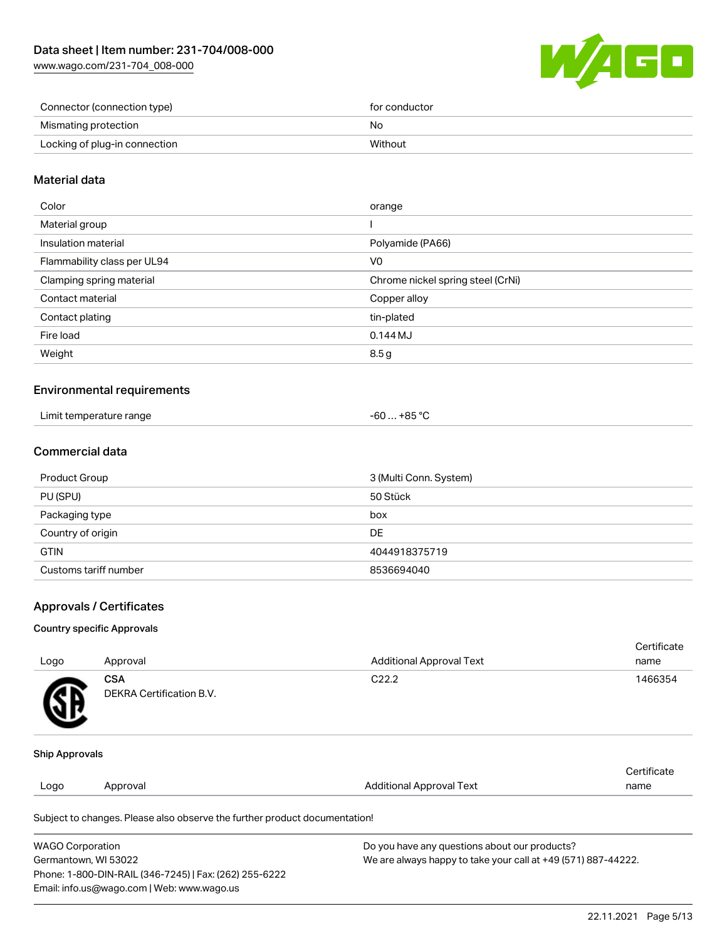

| Connector (connection type)   | for conductor |
|-------------------------------|---------------|
| Mismating protection          | No            |
| Locking of plug-in connection | Without       |

#### Material data

| Color                       | orange                            |
|-----------------------------|-----------------------------------|
| Material group              |                                   |
| Insulation material         | Polyamide (PA66)                  |
| Flammability class per UL94 | V0                                |
| Clamping spring material    | Chrome nickel spring steel (CrNi) |
| Contact material            | Copper alloy                      |
| Contact plating             | tin-plated                        |
| Fire load                   | $0.144M$ J                        |
| Weight                      | 8.5g                              |
|                             |                                   |

#### Environmental requirements

| Limit temperature range | . +85 °C |
|-------------------------|----------|
|                         | -60      |

## Commercial data

| Product Group         | 3 (Multi Conn. System) |
|-----------------------|------------------------|
| PU (SPU)              | 50 Stück               |
| Packaging type        | box                    |
| Country of origin     | DE                     |
| <b>GTIN</b>           | 4044918375719          |
| Customs tariff number | 8536694040             |

#### Approvals / Certificates

#### Country specific Approvals

| Logo                  | Approval                               | <b>Additional Approval Text</b> | Certificate<br>name |
|-----------------------|----------------------------------------|---------------------------------|---------------------|
| SB.                   | <b>CSA</b><br>DEKRA Certification B.V. | C <sub>22.2</sub>               | 1466354             |
| <b>Ship Approvals</b> |                                        |                                 |                     |
|                       |                                        |                                 | Certificate         |
| Logo                  | Approval                               | <b>Additional Approval Text</b> | name                |
|                       |                                        |                                 |                     |

Subject to changes. Please also observe the further product documentation!

| <b>WAGO Corporation</b>                                | Do you have any questions about our products?                 |
|--------------------------------------------------------|---------------------------------------------------------------|
| Germantown, WI 53022                                   | We are always happy to take your call at +49 (571) 887-44222. |
| Phone: 1-800-DIN-RAIL (346-7245)   Fax: (262) 255-6222 |                                                               |
| Email: info.us@wago.com   Web: www.wago.us             |                                                               |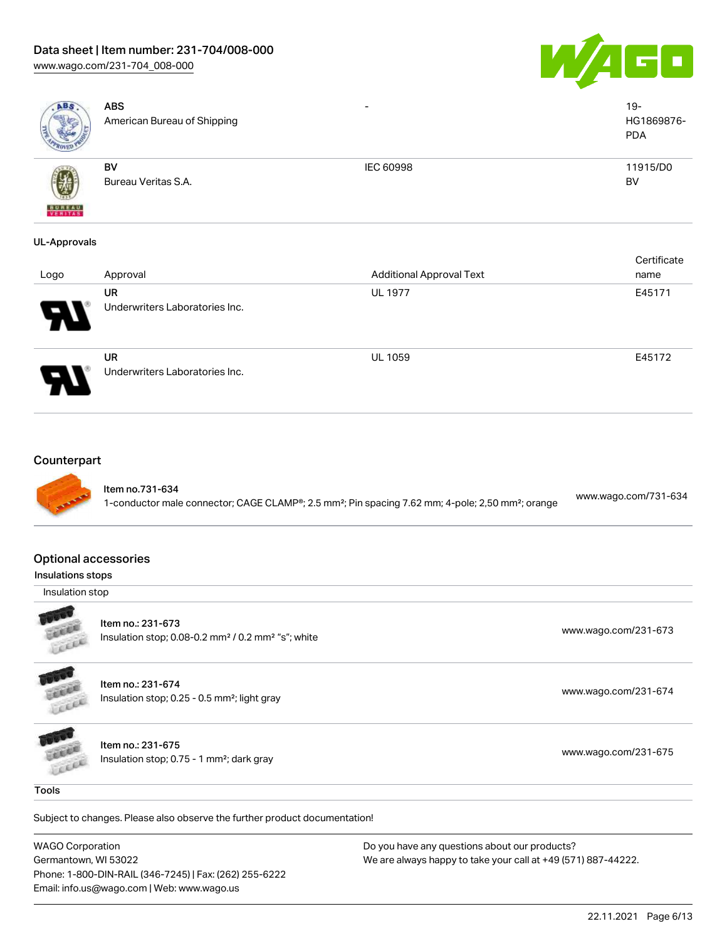## Data sheet | Item number: 231-704/008-000

[www.wago.com/231-704\\_008-000](http://www.wago.com/231-704_008-000)





|                                      | <b>ABS</b><br>American Bureau of Shipping                                                                                                                 |                                 | $19 -$<br>HG1869876-<br><b>PDA</b> |
|--------------------------------------|-----------------------------------------------------------------------------------------------------------------------------------------------------------|---------------------------------|------------------------------------|
|                                      | BV<br>Bureau Veritas S.A.                                                                                                                                 | IEC 60998                       | 11915/D0<br><b>BV</b>              |
| <b>UL-Approvals</b>                  |                                                                                                                                                           |                                 |                                    |
| Logo                                 | Approval                                                                                                                                                  | <b>Additional Approval Text</b> | Certificate<br>name                |
|                                      | <b>UR</b><br>Underwriters Laboratories Inc.                                                                                                               | <b>UL 1977</b>                  | E45171                             |
|                                      | <b>UR</b><br>Underwriters Laboratories Inc.                                                                                                               | UL 1059                         | E45172                             |
| <b>Optional accessories</b>          | Item no.731-634<br>1-conductor male connector; CAGE CLAMP <sup>®</sup> ; 2.5 mm <sup>2</sup> ; Pin spacing 7.62 mm; 4-pole; 2,50 mm <sup>2</sup> ; orange |                                 | www.wago.com/731-634               |
| Insulations stops<br>Insulation stop |                                                                                                                                                           |                                 |                                    |
| cici                                 | Item no.: 231-673<br>Insulation stop; 0.08-0.2 mm <sup>2</sup> / 0.2 mm <sup>2</sup> "s"; white                                                           |                                 | www.wago.com/231-673               |
|                                      |                                                                                                                                                           |                                 |                                    |
|                                      | Item no.: 231-674<br>Insulation stop; 0.25 - 0.5 mm <sup>2</sup> ; light gray                                                                             |                                 | www.wago.com/231-674               |
| LEEEE<br>Field                       | Item no.: 231-675<br>Insulation stop; 0.75 - 1 mm <sup>2</sup> ; dark gray                                                                                |                                 | www.wago.com/231-675               |

WAGO Corporation

Germantown, WI 53022 Phone: 1-800-DIN-RAIL (346-7245) | Fax: (262) 255-6222 Email: info.us@wago.com | Web: www.wago.us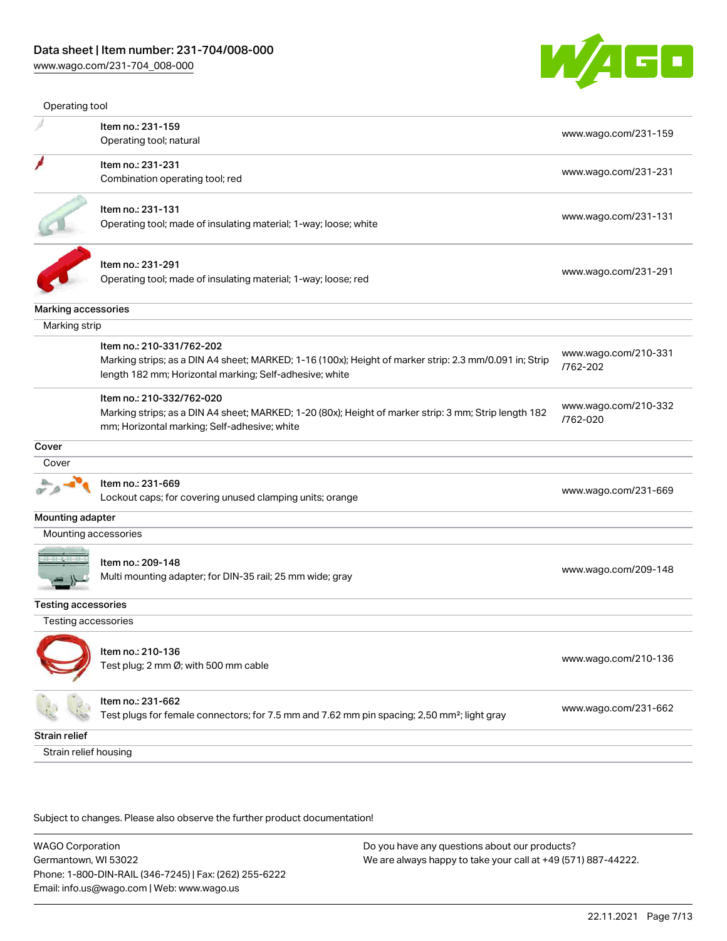

| Operating tool        |                                                                                                                                                                                                |                                  |
|-----------------------|------------------------------------------------------------------------------------------------------------------------------------------------------------------------------------------------|----------------------------------|
|                       | Item no.: 231-159                                                                                                                                                                              |                                  |
|                       | Operating tool; natural                                                                                                                                                                        | www.wago.com/231-159             |
|                       | Item no.: 231-231                                                                                                                                                                              |                                  |
|                       | Combination operating tool; red                                                                                                                                                                | www.wago.com/231-231             |
|                       | Item no.: 231-131                                                                                                                                                                              |                                  |
|                       | Operating tool; made of insulating material; 1-way; loose; white                                                                                                                               | www.wago.com/231-131             |
|                       | Item no.: 231-291                                                                                                                                                                              |                                  |
|                       | Operating tool; made of insulating material; 1-way; loose; red                                                                                                                                 | www.wago.com/231-291             |
| Marking accessories   |                                                                                                                                                                                                |                                  |
| Marking strip         |                                                                                                                                                                                                |                                  |
|                       | Item no.: 210-331/762-202<br>Marking strips; as a DIN A4 sheet; MARKED; 1-16 (100x); Height of marker strip: 2.3 mm/0.091 in; Strip<br>length 182 mm; Horizontal marking; Self-adhesive; white | www.wago.com/210-331<br>/762-202 |
|                       | Item no.: 210-332/762-020<br>Marking strips; as a DIN A4 sheet; MARKED; 1-20 (80x); Height of marker strip: 3 mm; Strip length 182<br>mm; Horizontal marking; Self-adhesive; white             | www.wago.com/210-332<br>/762-020 |
| Cover                 |                                                                                                                                                                                                |                                  |
| Cover                 |                                                                                                                                                                                                |                                  |
|                       | Item no.: 231-669<br>Lockout caps; for covering unused clamping units; orange                                                                                                                  | www.wago.com/231-669             |
| Mounting adapter      |                                                                                                                                                                                                |                                  |
| Mounting accessories  |                                                                                                                                                                                                |                                  |
|                       | Item no.: 209-148<br>Multi mounting adapter; for DIN-35 rail; 25 mm wide; gray                                                                                                                 | www.wago.com/209-148             |
| Testing accessories   |                                                                                                                                                                                                |                                  |
| Testing accessories   |                                                                                                                                                                                                |                                  |
|                       | Item no.: 210-136<br>Test plug; 2 mm Ø; with 500 mm cable                                                                                                                                      | www.wago.com/210-136             |
|                       | Item no.: 231-662<br>Test plugs for female connectors; for 7.5 mm and 7.62 mm pin spacing; 2,50 mm <sup>2</sup> ; light gray                                                                   | www.wago.com/231-662             |
| Strain relief         |                                                                                                                                                                                                |                                  |
| Strain relief housing |                                                                                                                                                                                                |                                  |

Subject to changes. Please also observe the further product documentation!

WAGO Corporation Germantown, WI 53022 Phone: 1-800-DIN-RAIL (346-7245) | Fax: (262) 255-6222 Email: info.us@wago.com | Web: www.wago.us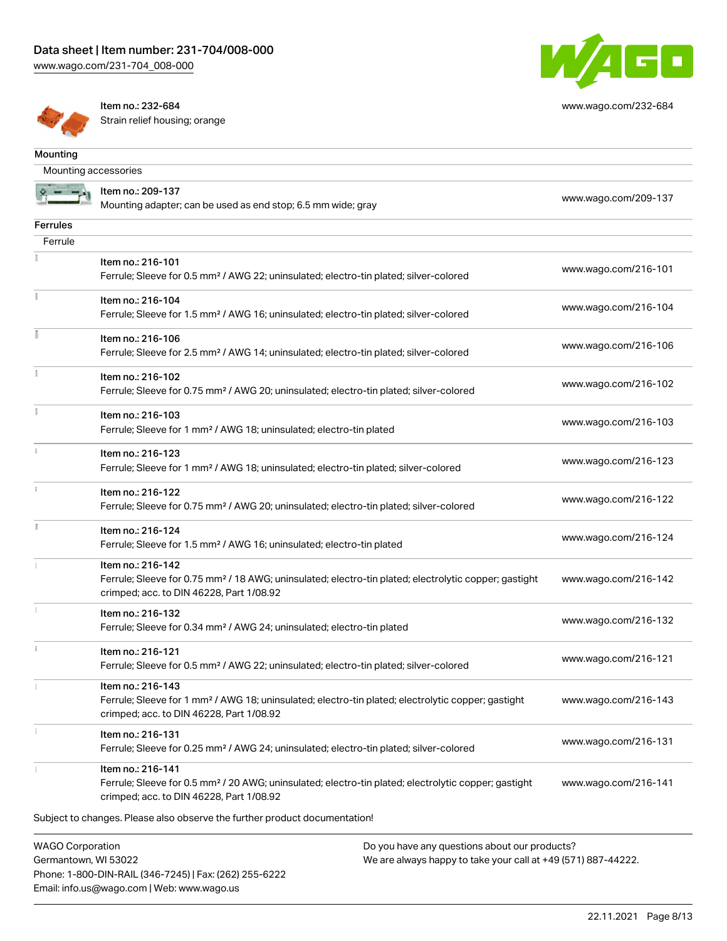

[www.wago.com/232-684](http://www.wago.com/232-684)



Item no.: 232-684 Strain relief housing; orange

Phone: 1-800-DIN-RAIL (346-7245) | Fax: (262) 255-6222

Email: info.us@wago.com | Web: www.wago.us

| Mounting                                        |                                                                                                                                                                                    |                                                                                                                |                      |
|-------------------------------------------------|------------------------------------------------------------------------------------------------------------------------------------------------------------------------------------|----------------------------------------------------------------------------------------------------------------|----------------------|
| Mounting accessories                            |                                                                                                                                                                                    |                                                                                                                |                      |
|                                                 | Item no.: 209-137<br>Mounting adapter; can be used as end stop; 6.5 mm wide; gray                                                                                                  |                                                                                                                | www.wago.com/209-137 |
| Ferrules                                        |                                                                                                                                                                                    |                                                                                                                |                      |
| Ferrule                                         |                                                                                                                                                                                    |                                                                                                                |                      |
|                                                 | Item no.: 216-101<br>Ferrule; Sleeve for 0.5 mm <sup>2</sup> / AWG 22; uninsulated; electro-tin plated; silver-colored                                                             |                                                                                                                | www.wago.com/216-101 |
|                                                 | Item no.: 216-104<br>Ferrule; Sleeve for 1.5 mm <sup>2</sup> / AWG 16; uninsulated; electro-tin plated; silver-colored                                                             |                                                                                                                | www.wago.com/216-104 |
|                                                 | Item no.: 216-106<br>Ferrule; Sleeve for 2.5 mm <sup>2</sup> / AWG 14; uninsulated; electro-tin plated; silver-colored                                                             |                                                                                                                | www.wago.com/216-106 |
|                                                 | Item no.: 216-102<br>Ferrule; Sleeve for 0.75 mm <sup>2</sup> / AWG 20; uninsulated; electro-tin plated; silver-colored                                                            |                                                                                                                | www.wago.com/216-102 |
|                                                 | Item no.: 216-103<br>Ferrule; Sleeve for 1 mm <sup>2</sup> / AWG 18; uninsulated; electro-tin plated                                                                               |                                                                                                                | www.wago.com/216-103 |
|                                                 | Item no.: 216-123<br>Ferrule; Sleeve for 1 mm <sup>2</sup> / AWG 18; uninsulated; electro-tin plated; silver-colored                                                               |                                                                                                                | www.wago.com/216-123 |
|                                                 | Item no.: 216-122<br>Ferrule; Sleeve for 0.75 mm <sup>2</sup> / AWG 20; uninsulated; electro-tin plated; silver-colored                                                            |                                                                                                                | www.wago.com/216-122 |
|                                                 | Item no.: 216-124<br>Ferrule; Sleeve for 1.5 mm <sup>2</sup> / AWG 16; uninsulated; electro-tin plated                                                                             |                                                                                                                | www.wago.com/216-124 |
|                                                 | Item no.: 216-142<br>Ferrule; Sleeve for 0.75 mm <sup>2</sup> / 18 AWG; uninsulated; electro-tin plated; electrolytic copper; gastight<br>crimped; acc. to DIN 46228, Part 1/08.92 |                                                                                                                | www.wago.com/216-142 |
|                                                 | Item no.: 216-132<br>Ferrule; Sleeve for 0.34 mm <sup>2</sup> / AWG 24; uninsulated; electro-tin plated                                                                            |                                                                                                                | www.wago.com/216-132 |
| ī.                                              | Item no.: 216-121<br>Ferrule; Sleeve for 0.5 mm <sup>2</sup> / AWG 22; uninsulated; electro-tin plated; silver-colored                                                             |                                                                                                                | www.wago.com/216-121 |
|                                                 | Item no.: 216-143<br>Ferrule; Sleeve for 1 mm <sup>2</sup> / AWG 18; uninsulated; electro-tin plated; electrolytic copper; gastight<br>crimped; acc. to DIN 46228, Part 1/08.92    |                                                                                                                | www.wago.com/216-143 |
|                                                 | Item no.: 216-131<br>Ferrule; Sleeve for 0.25 mm <sup>2</sup> / AWG 24; uninsulated; electro-tin plated; silver-colored                                                            |                                                                                                                | www.wago.com/216-131 |
|                                                 | Item no.: 216-141<br>Ferrule; Sleeve for 0.5 mm <sup>2</sup> / 20 AWG; uninsulated; electro-tin plated; electrolytic copper; gastight<br>crimped; acc. to DIN 46228, Part 1/08.92  |                                                                                                                | www.wago.com/216-141 |
|                                                 | Subject to changes. Please also observe the further product documentation!                                                                                                         |                                                                                                                |                      |
| <b>WAGO Corporation</b><br>Germantown, WI 53022 |                                                                                                                                                                                    | Do you have any questions about our products?<br>We are always happy to take your call at +49 (571) 887-44222. |                      |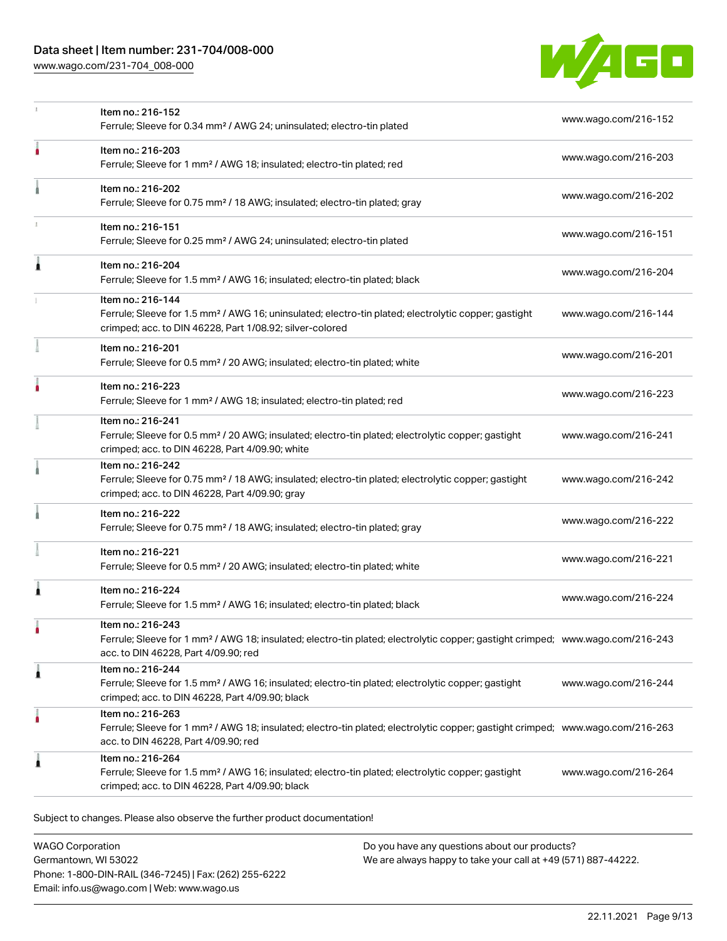## Data sheet | Item number: 231-704/008-000

[www.wago.com/231-704\\_008-000](http://www.wago.com/231-704_008-000)



|   | Item no.: 216-152<br>Ferrule; Sleeve for 0.34 mm <sup>2</sup> / AWG 24; uninsulated; electro-tin plated                                                                                                 | www.wago.com/216-152 |
|---|---------------------------------------------------------------------------------------------------------------------------------------------------------------------------------------------------------|----------------------|
|   | Item no.: 216-203<br>Ferrule; Sleeve for 1 mm <sup>2</sup> / AWG 18; insulated; electro-tin plated; red                                                                                                 | www.wago.com/216-203 |
|   | Item no.: 216-202<br>Ferrule; Sleeve for 0.75 mm <sup>2</sup> / 18 AWG; insulated; electro-tin plated; gray                                                                                             | www.wago.com/216-202 |
|   | Item no.: 216-151<br>Ferrule; Sleeve for 0.25 mm <sup>2</sup> / AWG 24; uninsulated; electro-tin plated                                                                                                 | www.wago.com/216-151 |
| Â | Item no.: 216-204<br>Ferrule; Sleeve for 1.5 mm <sup>2</sup> / AWG 16; insulated; electro-tin plated; black                                                                                             | www.wago.com/216-204 |
|   | Item no.: 216-144<br>Ferrule; Sleeve for 1.5 mm <sup>2</sup> / AWG 16; uninsulated; electro-tin plated; electrolytic copper; gastight<br>crimped; acc. to DIN 46228, Part 1/08.92; silver-colored       | www.wago.com/216-144 |
|   | Item no.: 216-201<br>Ferrule; Sleeve for 0.5 mm <sup>2</sup> / 20 AWG; insulated; electro-tin plated; white                                                                                             | www.wago.com/216-201 |
|   | Item no.: 216-223<br>Ferrule; Sleeve for 1 mm <sup>2</sup> / AWG 18; insulated; electro-tin plated; red                                                                                                 | www.wago.com/216-223 |
|   | Item no.: 216-241<br>Ferrule; Sleeve for 0.5 mm <sup>2</sup> / 20 AWG; insulated; electro-tin plated; electrolytic copper; gastight<br>crimped; acc. to DIN 46228, Part 4/09.90; white                  | www.wago.com/216-241 |
|   | Item no.: 216-242<br>Ferrule; Sleeve for 0.75 mm <sup>2</sup> / 18 AWG; insulated; electro-tin plated; electrolytic copper; gastight<br>crimped; acc. to DIN 46228, Part 4/09.90; gray                  | www.wago.com/216-242 |
|   | Item no.: 216-222<br>Ferrule; Sleeve for 0.75 mm <sup>2</sup> / 18 AWG; insulated; electro-tin plated; gray                                                                                             | www.wago.com/216-222 |
|   | Item no.: 216-221<br>Ferrule; Sleeve for 0.5 mm <sup>2</sup> / 20 AWG; insulated; electro-tin plated; white                                                                                             | www.wago.com/216-221 |
| Â | Item no.: 216-224<br>Ferrule; Sleeve for 1.5 mm <sup>2</sup> / AWG 16; insulated; electro-tin plated; black                                                                                             | www.wago.com/216-224 |
|   | Item no.: 216-243<br>Ferrule; Sleeve for 1 mm <sup>2</sup> / AWG 18; insulated; electro-tin plated; electrolytic copper; gastight crimped; www.wago.com/216-243<br>acc. to DIN 46228, Part 4/09.90; red |                      |
| Â | Item no.: 216-244<br>Ferrule; Sleeve for 1.5 mm <sup>2</sup> / AWG 16; insulated; electro-tin plated; electrolytic copper; gastight<br>crimped; acc. to DIN 46228, Part 4/09.90; black                  | www.wago.com/216-244 |
|   | Item no.: 216-263<br>Ferrule; Sleeve for 1 mm <sup>2</sup> / AWG 18; insulated; electro-tin plated; electrolytic copper; gastight crimped; www.wago.com/216-263<br>acc. to DIN 46228, Part 4/09.90; red |                      |
| 1 | Item no.: 216-264<br>Ferrule; Sleeve for 1.5 mm <sup>2</sup> / AWG 16; insulated; electro-tin plated; electrolytic copper; gastight                                                                     | www.wago.com/216-264 |

WAGO Corporation Germantown, WI 53022 Phone: 1-800-DIN-RAIL (346-7245) | Fax: (262) 255-6222 Email: info.us@wago.com | Web: www.wago.us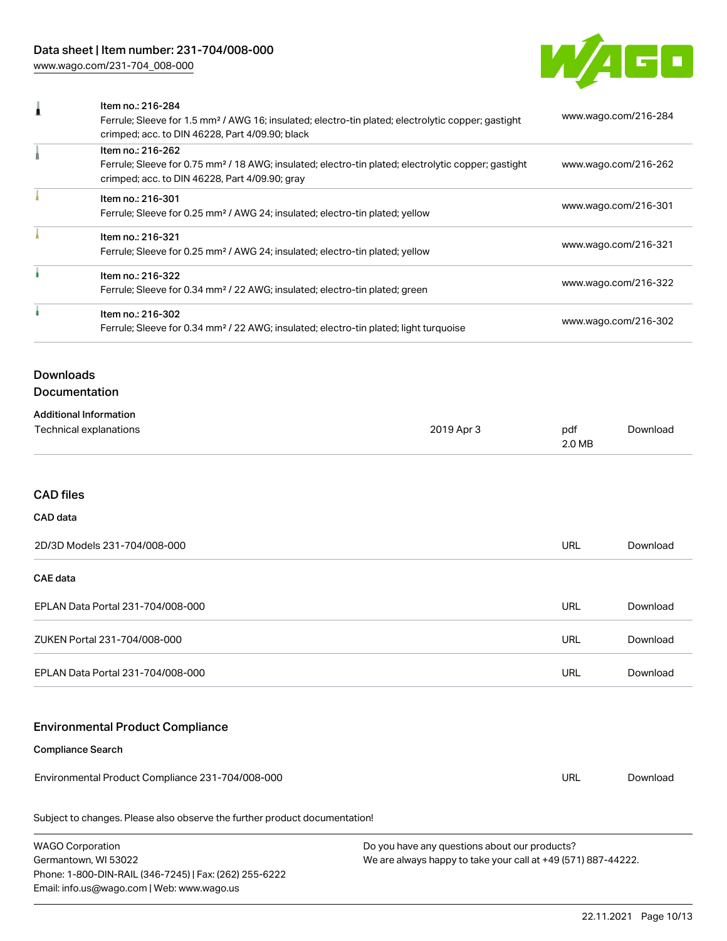

| Item no.: 216-284<br>1<br>Ferrule; Sleeve for 1.5 mm <sup>2</sup> / AWG 16; insulated; electro-tin plated; electrolytic copper; gastight<br>crimped; acc. to DIN 46228, Part 4/09.90; black |                                                                                                                        | www.wago.com/216-284 |               |                      |  |
|---------------------------------------------------------------------------------------------------------------------------------------------------------------------------------------------|------------------------------------------------------------------------------------------------------------------------|----------------------|---------------|----------------------|--|
| Item no.: 216-262<br>Ferrule; Sleeve for 0.75 mm <sup>2</sup> / 18 AWG; insulated; electro-tin plated; electrolytic copper; gastight<br>crimped; acc. to DIN 46228, Part 4/09.90; gray      |                                                                                                                        | www.wago.com/216-262 |               |                      |  |
|                                                                                                                                                                                             | Item no.: 216-301<br>Ferrule; Sleeve for 0.25 mm <sup>2</sup> / AWG 24; insulated; electro-tin plated; yellow          |                      |               | www.wago.com/216-301 |  |
|                                                                                                                                                                                             | Item no.: 216-321<br>Ferrule; Sleeve for 0.25 mm <sup>2</sup> / AWG 24; insulated; electro-tin plated; yellow          |                      |               | www.wago.com/216-321 |  |
| à                                                                                                                                                                                           | Item no.: 216-322<br>Ferrule; Sleeve for 0.34 mm <sup>2</sup> / 22 AWG; insulated; electro-tin plated; green           |                      |               | www.wago.com/216-322 |  |
|                                                                                                                                                                                             | Item no.: 216-302<br>Ferrule; Sleeve for 0.34 mm <sup>2</sup> / 22 AWG; insulated; electro-tin plated; light turquoise |                      |               | www.wago.com/216-302 |  |
| <b>Downloads</b>                                                                                                                                                                            |                                                                                                                        |                      |               |                      |  |
|                                                                                                                                                                                             | Documentation                                                                                                          |                      |               |                      |  |
|                                                                                                                                                                                             | <b>Additional Information</b>                                                                                          |                      |               |                      |  |
|                                                                                                                                                                                             | Technical explanations                                                                                                 | 2019 Apr 3           | pdf<br>2.0 MB | Download             |  |
| <b>CAD files</b>                                                                                                                                                                            |                                                                                                                        |                      |               |                      |  |
| CAD data                                                                                                                                                                                    |                                                                                                                        |                      |               |                      |  |
|                                                                                                                                                                                             | 2D/3D Models 231-704/008-000                                                                                           |                      | <b>URL</b>    | Download             |  |
| <b>CAE data</b>                                                                                                                                                                             |                                                                                                                        |                      |               |                      |  |
|                                                                                                                                                                                             | EPLAN Data Portal 231-704/008-000                                                                                      |                      | URL           | Download             |  |
|                                                                                                                                                                                             | ZUKEN Portal 231-704/008-000                                                                                           |                      | <b>URL</b>    | Download             |  |
|                                                                                                                                                                                             | EPLAN Data Portal 231-704/008-000                                                                                      |                      | <b>URL</b>    | Download             |  |
|                                                                                                                                                                                             | <b>Environmental Product Compliance</b>                                                                                |                      |               |                      |  |
|                                                                                                                                                                                             | <b>Compliance Search</b>                                                                                               |                      |               |                      |  |
|                                                                                                                                                                                             | Environmental Product Compliance 231-704/008-000                                                                       |                      | <b>URL</b>    | Download             |  |

Subject to changes. Please also observe the further product documentation!

WAGO Corporation Germantown, WI 53022 Phone: 1-800-DIN-RAIL (346-7245) | Fax: (262) 255-6222 Email: info.us@wago.com | Web: www.wago.us Do you have any questions about our products? We are always happy to take your call at +49 (571) 887-44222.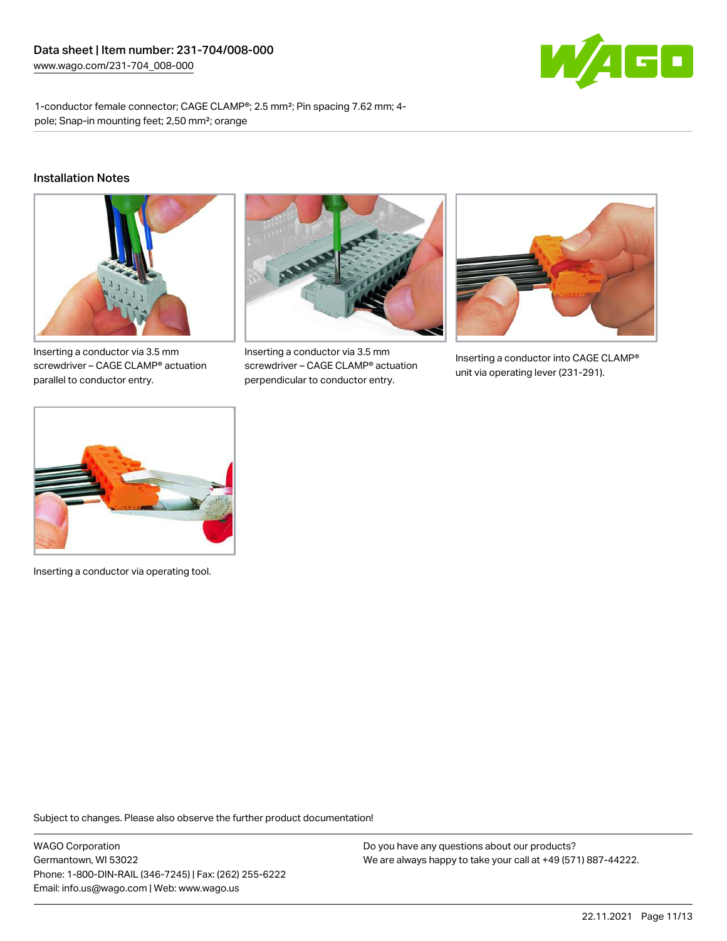

1-conductor female connector; CAGE CLAMP®; 2.5 mm²; Pin spacing 7.62 mm; 4 pole; Snap-in mounting feet; 2,50 mm²; orange

#### Installation Notes



Inserting a conductor via 3.5 mm screwdriver – CAGE CLAMP® actuation parallel to conductor entry.



Inserting a conductor via 3.5 mm screwdriver – CAGE CLAMP® actuation perpendicular to conductor entry.



Inserting a conductor into CAGE CLAMP® unit via operating lever (231-291).



Inserting a conductor via operating tool.

Subject to changes. Please also observe the further product documentation!

WAGO Corporation Germantown, WI 53022 Phone: 1-800-DIN-RAIL (346-7245) | Fax: (262) 255-6222 Email: info.us@wago.com | Web: www.wago.us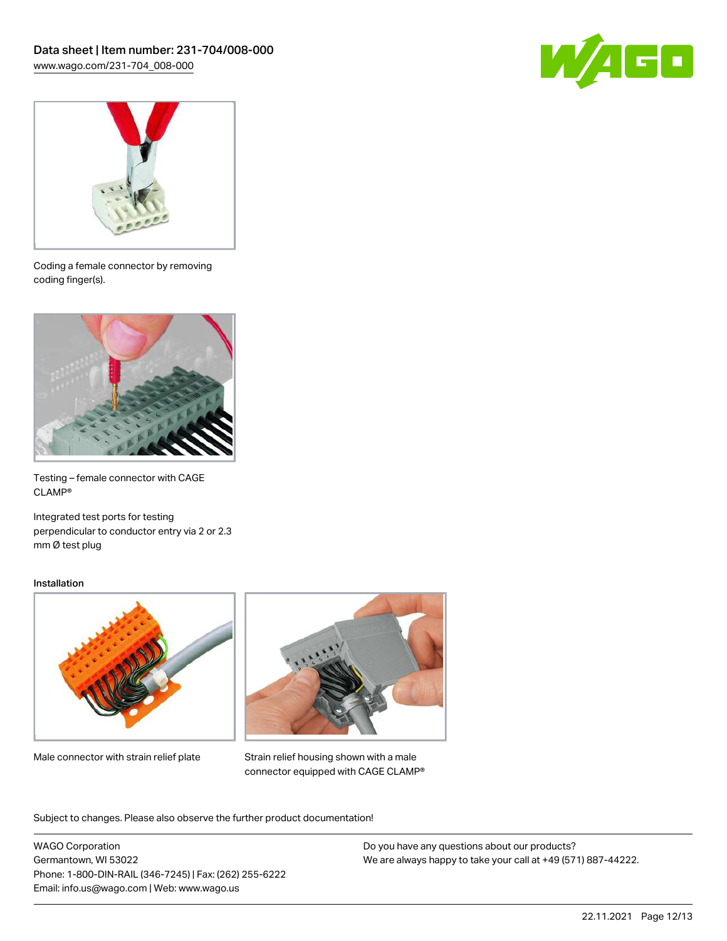



Coding a female connector by removing coding finger(s).



Testing – female connector with CAGE CLAMP®

Integrated test ports for testing perpendicular to conductor entry via 2 or 2.3 mm Ø test plug

#### Installation



Male connector with strain relief plate



Strain relief housing shown with a male connector equipped with CAGE CLAMP®

Subject to changes. Please also observe the further product documentation!

WAGO Corporation Germantown, WI 53022 Phone: 1-800-DIN-RAIL (346-7245) | Fax: (262) 255-6222 Email: info.us@wago.com | Web: www.wago.us